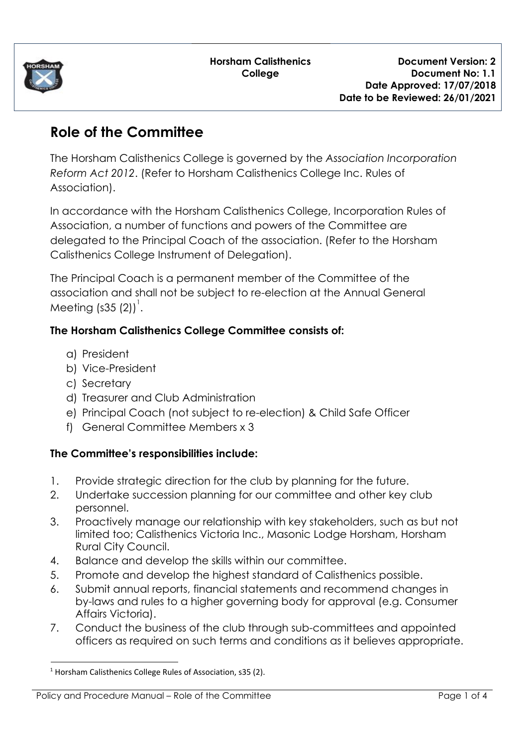

# **Role of the Committee**

The Horsham Calisthenics College is governed by the *Association Incorporation Reform Act 2012*. (Refer to Horsham Calisthenics College Inc. Rules of Association).

In accordance with the Horsham Calisthenics College, Incorporation Rules of Association, a number of functions and powers of the Committee are delegated to the Principal Coach of the association. (Refer to the Horsham Calisthenics College Instrument of Delegation).

The Principal Coach is a permanent member of the Committee of the association and shall not be subject to re-election at the Annual General Meeting (s35 (2)) $^{\dagger}$ .

## **The Horsham Calisthenics College Committee consists of:**

- a) President
- b) Vice-President
- c) Secretary
- d) Treasurer and Club Administration
- e) Principal Coach (not subject to re-election) & Child Safe Officer
- f) General Committee Members x 3

### **The Committee's responsibilities include:**

- 1. Provide strategic direction for the club by planning for the future.
- 2. Undertake succession planning for our committee and other key club personnel.
- 3. Proactively manage our relationship with key stakeholders, such as but not limited too; Calisthenics Victoria Inc., Masonic Lodge Horsham, Horsham Rural City Council.
- 4. Balance and develop the skills within our committee.
- 5. Promote and develop the highest standard of Calisthenics possible.
- 6. Submit annual reports, financial statements and recommend changes in by-laws and rules to a higher governing body for approval (e.g. Consumer Affairs Victoria).
- 7. Conduct the business of the club through sub-committees and appointed officers as required on such terms and conditions as it believes appropriate.

<sup>&</sup>lt;sup>1</sup> Horsham Calisthenics College Rules of Association, s35 (2).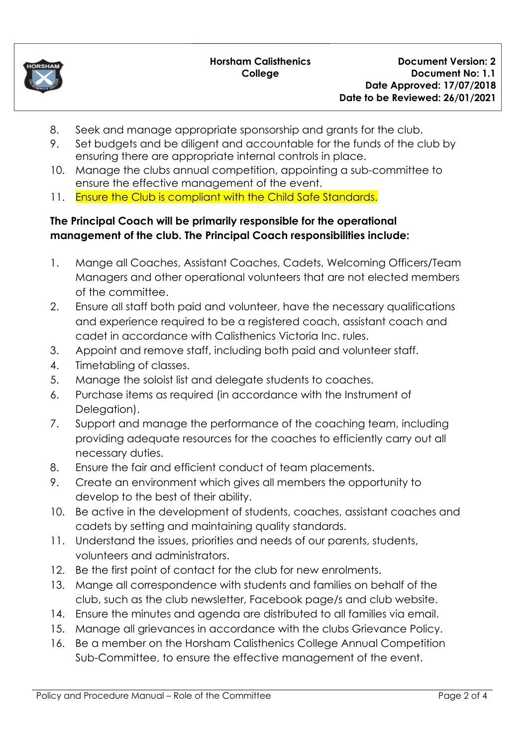

- 8. Seek and manage appropriate sponsorship and grants for the club.
- 9. Set budgets and be diligent and accountable for the funds of the club by ensuring there are appropriate internal controls in place.
- 10. Manage the clubs annual competition, appointing a sub-committee to ensure the effective management of the event.
- 11. Ensure the Club is compliant with the Child Safe Standards.

## **The Principal Coach will be primarily responsible for the operational management of the club. The Principal Coach responsibilities include:**

- 1. Mange all Coaches, Assistant Coaches, Cadets, Welcoming Officers/Team Managers and other operational volunteers that are not elected members of the committee.
- 2. Ensure all staff both paid and volunteer, have the necessary qualifications and experience required to be a registered coach, assistant coach and cadet in accordance with Calisthenics Victoria Inc. rules.
- 3. Appoint and remove staff, including both paid and volunteer staff.
- 4. Timetabling of classes.
- 5. Manage the soloist list and delegate students to coaches.
- 6. Purchase items as required (in accordance with the Instrument of Delegation).
- 7. Support and manage the performance of the coaching team, including providing adequate resources for the coaches to efficiently carry out all necessary duties.
- 8. Ensure the fair and efficient conduct of team placements.
- 9. Create an environment which gives all members the opportunity to develop to the best of their ability.
- 10. Be active in the development of students, coaches, assistant coaches and cadets by setting and maintaining quality standards.
- 11. Understand the issues, priorities and needs of our parents, students, volunteers and administrators.
- 12. Be the first point of contact for the club for new enrolments.
- 13. Mange all correspondence with students and families on behalf of the club, such as the club newsletter, Facebook page/s and club website.
- 14. Ensure the minutes and agenda are distributed to all families via email.
- 15. Manage all grievances in accordance with the clubs Grievance Policy.
- 16. Be a member on the Horsham Calisthenics College Annual Competition Sub-Committee, to ensure the effective management of the event.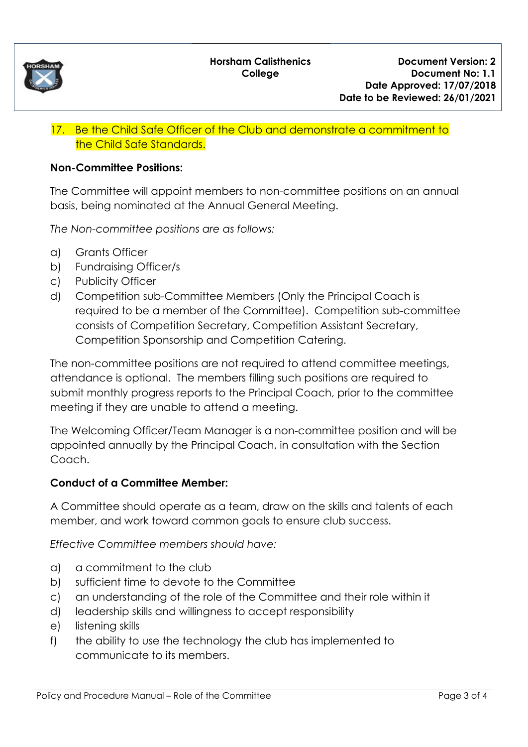

## 17. Be the Child Safe Officer of the Club and demonstrate a commitment to the Child Safe Standards.

#### **Non-Committee Positions:**

The Committee will appoint members to non-committee positions on an annual basis, being nominated at the Annual General Meeting.

*The Non-committee positions are as follows:*

- a) Grants Officer
- b) Fundraising Officer/s
- c) Publicity Officer
- d) Competition sub-Committee Members (Only the Principal Coach is required to be a member of the Committee). Competition sub-committee consists of Competition Secretary, Competition Assistant Secretary, Competition Sponsorship and Competition Catering.

The non-committee positions are not required to attend committee meetings, attendance is optional. The members filling such positions are required to submit monthly progress reports to the Principal Coach, prior to the committee meeting if they are unable to attend a meeting.

The Welcoming Officer/Team Manager is a non-committee position and will be appointed annually by the Principal Coach, in consultation with the Section Coach.

#### **Conduct of a Committee Member:**

A Committee should operate as a team, draw on the skills and talents of each member, and work toward common goals to ensure club success.

*Effective Committee members should have:*

- a) a commitment to the club
- b) sufficient time to devote to the Committee
- c) an understanding of the role of the Committee and their role within it
- d) leadership skills and willingness to accept responsibility
- e) listening skills
- f) the ability to use the technology the club has implemented to communicate to its members.